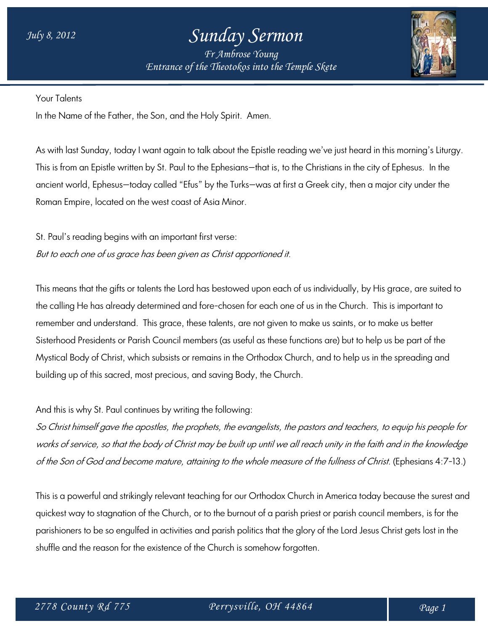## *July 8, 2012 Sunday Sermon*

*Fr Ambrose Young Entrance of the Theotokos into the Temple Skete*



Your Talents

In the Name of the Father, the Son, and the Holy Spirit. Amen.

As with last Sunday, today I want again to talk about the Epistle reading we've just heard in this morning's Liturgy. This is from an Epistle written by St. Paul to the Ephesians—that is, to the Christians in the city of Ephesus. In the ancient world, Ephesus—today called "Efus" by the Turks—was at first a Greek city, then a major city under the Roman Empire, located on the west coast of Asia Minor.

St. Paul's reading begins with an important first verse: But to each one of us grace has been given as Christ apportioned it.

This means that the gifts or talents the Lord has bestowed upon each of us individually, by His grace, are suited to the calling He has already determined and fore-chosen for each one of us in the Church. This is important to remember and understand. This grace, these talents, are not given to make us saints, or to make us better Sisterhood Presidents or Parish Council members (as useful as these functions are) but to help us be part of the Mystical Body of Christ, which subsists or remains in the Orthodox Church, and to help us in the spreading and building up of this sacred, most precious, and saving Body, the Church.

And this is why St. Paul continues by writing the following:

So Christ himself gave the apostles, the prophets, the evangelists, the pastors and teachers, to equip his people for works of service, so that the body of Christ may be built up until we all reach unity in the faith and in the knowledge of the Son of God and become mature, attaining to the whole measure of the fullness of Christ. (Ephesians 4:7-13.)

This is a powerful and strikingly relevant teaching for our Orthodox Church in America today because the surest and quickest way to stagnation of the Church, or to the burnout of a parish priest or parish council members, is for the parishioners to be so engulfed in activities and parish politics that the glory of the Lord Jesus Christ gets lost in the shuffle and the reason for the existence of the Church is somehow forgotten.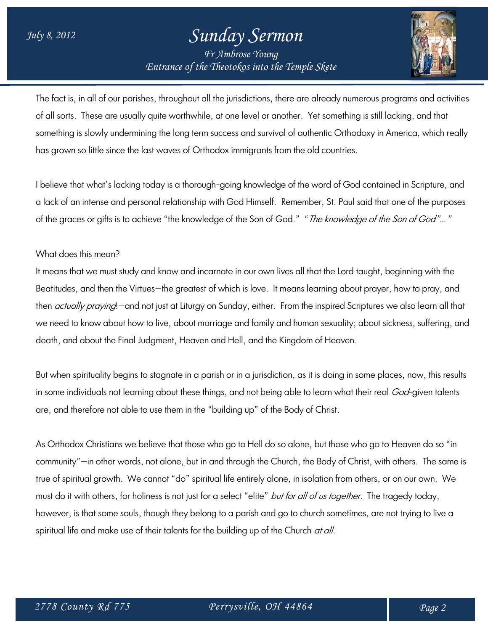## *July 8, 2012 Sunday Sermon Fr Ambrose Young*

*Entrance of the Theotokos into the Temple Skete*



The fact is, in all of our parishes, throughout all the jurisdictions, there are already numerous programs and activities of all sorts. These are usually quite worthwhile, at one level or another. Yet something is still lacking, and that something is slowly undermining the long term success and survival of authentic Orthodoxy in America, which really has grown so little since the last waves of Orthodox immigrants from the old countries.

I believe that what's lacking today is a thorough-going knowledge of the word of God contained in Scripture, and a lack of an intense and personal relationship with God Himself. Remember, St. Paul said that one of the purposes of the graces or gifts is to achieve "the knowledge of the Son of God." "The knowledge of the Son of God"..."

## What does this mean?

It means that we must study and know and incarnate in our own lives all that the Lord taught, beginning with the Beatitudes, and then the Virtues—the greatest of which is love. It means learning about prayer, how to pray, and then *actually praying*!—and not just at Liturgy on Sunday, either. From the inspired Scriptures we also learn all that we need to know about how to live, about marriage and family and human sexuality; about sickness, suffering, and death, and about the Final Judgment, Heaven and Hell, and the Kingdom of Heaven.

But when spirituality begins to stagnate in a parish or in a jurisdiction, as it is doing in some places, now, this results in some individuals not learning about these things, and not being able to learn what their real *God*-given talents are, and therefore not able to use them in the "building up" of the Body of Christ.

As Orthodox Christians we believe that those who go to Hell do so alone, but those who go to Heaven do so "in community"—in other words, not alone, but in and through the Church, the Body of Christ, with others. The same is true of spiritual growth. We cannot "do" spiritual life entirely alone, in isolation from others, or on our own. We must do it with others, for holiness is not just for a select "elite" but for all of us together. The tragedy today, however, is that some souls, though they belong to a parish and go to church sometimes, are not trying to live a spiritual life and make use of their talents for the building up of the Church *at all.*